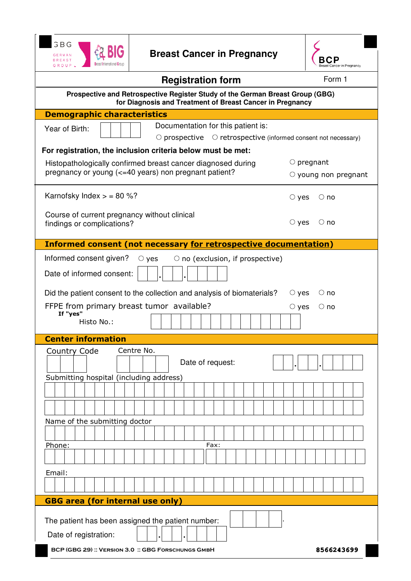



| <b>Registration form</b>                                                                                                                   | Form 1                     |
|--------------------------------------------------------------------------------------------------------------------------------------------|----------------------------|
| Prospective and Retrospective Register Study of the German Breast Group (GBG)<br>for Diagnosis and Treatment of Breast Cancer in Pregnancy |                            |
| <b>Demographic characteristics</b>                                                                                                         |                            |
| Documentation for this patient is:<br>Year of Birth:                                                                                       |                            |
| $\circ$ prospective<br>$\circ$ retrospective (informed consent not necessary)                                                              |                            |
| For registration, the inclusion criteria below must be met:                                                                                |                            |
| Histopathologically confirmed breast cancer diagnosed during                                                                               | $\circ$ pregnant           |
| pregnancy or young (<=40 years) non pregnant patient?                                                                                      | $\circ$ young non pregnant |
| Karnofsky Index $>$ = 80 %?                                                                                                                | $\circ$ yes<br>$\circ$ no  |
| Course of current pregnancy without clinical                                                                                               |                            |
| findings or complications?                                                                                                                 | $\circ$ yes<br>$\circ$ no  |
|                                                                                                                                            |                            |
| Informed consent (not necessary for retrospective documentation)                                                                           |                            |
| Informed consent given?<br>$\circ$ no (exclusion, if prospective)<br>$\circ$ yes                                                           |                            |
| Date of informed consent:                                                                                                                  |                            |
| Did the patient consent to the collection and analysis of biomaterials?                                                                    | $\circ$ yes<br>$\circ$ no  |
| FFPE from primary breast tumor available?                                                                                                  | $\circ$ yes<br>$\circ$ no  |
| If "yes"                                                                                                                                   |                            |
| Histo No.:                                                                                                                                 |                            |
| <b>Center information</b>                                                                                                                  |                            |
| Centre No.<br><b>Country Code</b>                                                                                                          |                            |
| Date of request:                                                                                                                           |                            |
| Submitting hospital (including address)                                                                                                    |                            |
|                                                                                                                                            |                            |
|                                                                                                                                            |                            |
|                                                                                                                                            |                            |
| Name of the submitting doctor                                                                                                              |                            |
|                                                                                                                                            |                            |
| Fax:<br>Phone:                                                                                                                             |                            |
|                                                                                                                                            |                            |
| Email:                                                                                                                                     |                            |
|                                                                                                                                            |                            |
| <b>GBG area (for internal use only)</b>                                                                                                    |                            |

| The patient has been assigned the patient number: |  |  |  |
|---------------------------------------------------|--|--|--|
| Date of registration:                             |  |  |  |

**BCP (GBG 29) :: Version 3.0 :: GBG Forschungs GmbH**

**8566243699**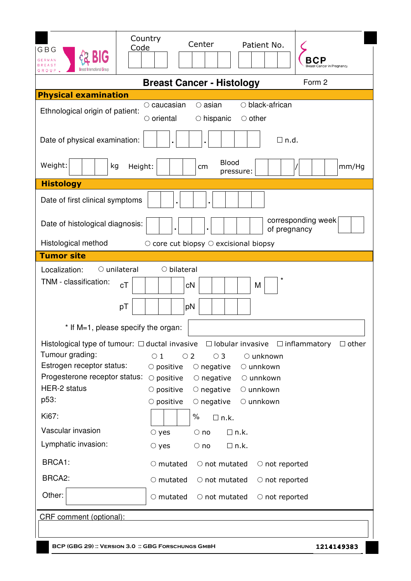| Country<br>Code<br>GBG<br><b>GERMAN</b><br>GROUP.                                                     | Center<br>Patient No.<br>east Cancer in Pregnancy                                                                                                                                                                                                                                                                                                                                                                                                                  |
|-------------------------------------------------------------------------------------------------------|--------------------------------------------------------------------------------------------------------------------------------------------------------------------------------------------------------------------------------------------------------------------------------------------------------------------------------------------------------------------------------------------------------------------------------------------------------------------|
|                                                                                                       | Form 2<br><b>Breast Cancer - Histology</b>                                                                                                                                                                                                                                                                                                                                                                                                                         |
| <b>Physical examination</b>                                                                           |                                                                                                                                                                                                                                                                                                                                                                                                                                                                    |
| Ethnological origin of patient:                                                                       | $\circ$ black-african<br>$\circ$ caucasian<br>$\circ$ asian<br>$\circ$ other<br>$\circ$ oriental<br>$\circ$ hispanic                                                                                                                                                                                                                                                                                                                                               |
| Date of physical examination:                                                                         | $\Box$ n.d.                                                                                                                                                                                                                                                                                                                                                                                                                                                        |
| Weight:<br>kg<br>Height:                                                                              | <b>Blood</b><br>mm/Hg<br>cm<br>pressure:                                                                                                                                                                                                                                                                                                                                                                                                                           |
| <b>Histology</b>                                                                                      |                                                                                                                                                                                                                                                                                                                                                                                                                                                                    |
| Date of first clinical symptoms                                                                       |                                                                                                                                                                                                                                                                                                                                                                                                                                                                    |
| Date of histological diagnosis:                                                                       | corresponding week<br>of pregnancy                                                                                                                                                                                                                                                                                                                                                                                                                                 |
| Histological method                                                                                   | $\circ$ core cut biopsy $\circ$ excisional biopsy                                                                                                                                                                                                                                                                                                                                                                                                                  |
| <b>Tumor site</b>                                                                                     |                                                                                                                                                                                                                                                                                                                                                                                                                                                                    |
| TNM - classification:<br>cT<br>pT                                                                     | cN<br>M<br>pN                                                                                                                                                                                                                                                                                                                                                                                                                                                      |
| * If M=1, please specify the organ:                                                                   |                                                                                                                                                                                                                                                                                                                                                                                                                                                                    |
| Tumour grading:<br>Estrogen receptor status:<br>Progesterone receptor status:<br>HER-2 status<br>p53: | Histological type of tumour: $\Box$ ductal invasive $\Box$ lobular invasive $\Box$ inflammatory $\Box$ other<br>$\circ$ 1<br>$\circ$ 2<br>$\circ$ 3<br>$\circ$ unknown<br>$\circ$ positive<br>O unnkown<br>$\circlearrowright$ negative<br>$\circ$ positive<br>○ unnkown<br>$\circlearrowright$ negative<br>$\circlearrowright$ negative<br>$\circ$ unnkown<br>$\circ$ positive<br>$\circlearrowright$ negative<br>$\circ$ positive<br>$\circlearrowright$ unnkown |
| Ki67:                                                                                                 | ℅<br>$\Box$ n.k.                                                                                                                                                                                                                                                                                                                                                                                                                                                   |
| Vascular invasion                                                                                     | $\Box$ n.k.<br>$\circ$ no<br>$\circ$ yes                                                                                                                                                                                                                                                                                                                                                                                                                           |
| Lymphatic invasion:                                                                                   | $\bigcirc$ no<br>$\Box$ n.k.<br>$\circ$ yes                                                                                                                                                                                                                                                                                                                                                                                                                        |
| BRCA1:                                                                                                | $\circ$ mutated<br>$\circ$ not mutated<br>$\circ$ not reported                                                                                                                                                                                                                                                                                                                                                                                                     |
| BRCA2:                                                                                                | $\circlearrowright$ mutated<br>$\circ$ not mutated<br>$\circ$ not reported                                                                                                                                                                                                                                                                                                                                                                                         |
| Other:                                                                                                | $\circlearrowright$ mutated<br>$\circ$ not mutated<br>$\circ$ not reported                                                                                                                                                                                                                                                                                                                                                                                         |
| CRF comment (optional):                                                                               |                                                                                                                                                                                                                                                                                                                                                                                                                                                                    |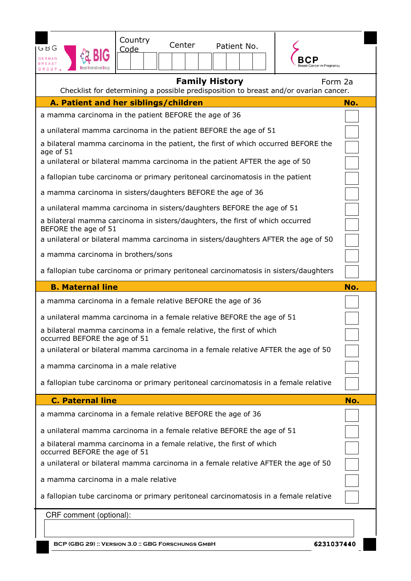| GBG<br><b>GERMAN</b><br><b>REAST</b><br>GROUP.                                                                                                                                  | Country<br>Code                                                                      | Center                | Patient No. |  |         |
|---------------------------------------------------------------------------------------------------------------------------------------------------------------------------------|--------------------------------------------------------------------------------------|-----------------------|-------------|--|---------|
|                                                                                                                                                                                 | Checklist for determining a possible predisposition to breast and/or ovarian cancer. | <b>Family History</b> |             |  | Form 2a |
| A. Patient and her siblings/children                                                                                                                                            |                                                                                      |                       |             |  | No.     |
| a mamma carcinoma in the patient BEFORE the age of 36                                                                                                                           |                                                                                      |                       |             |  |         |
| a unilateral mamma carcinoma in the patient BEFORE the age of 51                                                                                                                |                                                                                      |                       |             |  |         |
| a bilateral mamma carcinoma in the patient, the first of which occurred BEFORE the<br>age of 51<br>a unilateral or bilateral mamma carcinoma in the patient AFTER the age of 50 |                                                                                      |                       |             |  |         |
| a fallopian tube carcinoma or primary peritoneal carcinomatosis in the patient                                                                                                  |                                                                                      |                       |             |  |         |
| a mamma carcinoma in sisters/daughters BEFORE the age of 36                                                                                                                     |                                                                                      |                       |             |  |         |
| a unilateral mamma carcinoma in sisters/daughters BEFORE the age of 51                                                                                                          |                                                                                      |                       |             |  |         |
| a bilateral mamma carcinoma in sisters/daughters, the first of which occurred<br>BEFORE the age of 51                                                                           |                                                                                      |                       |             |  |         |
| a unilateral or bilateral mamma carcinoma in sisters/daughters AFTER the age of 50                                                                                              |                                                                                      |                       |             |  |         |
| a mamma carcinoma in brothers/sons                                                                                                                                              |                                                                                      |                       |             |  |         |
| a fallopian tube carcinoma or primary peritoneal carcinomatosis in sisters/daughters                                                                                            |                                                                                      |                       |             |  |         |
|                                                                                                                                                                                 |                                                                                      |                       |             |  |         |
| <b>B. Maternal line</b>                                                                                                                                                         |                                                                                      |                       |             |  | No.     |
| a mamma carcinoma in a female relative BEFORE the age of 36                                                                                                                     |                                                                                      |                       |             |  |         |
| a unilateral mamma carcinoma in a female relative BEFORE the age of 51                                                                                                          |                                                                                      |                       |             |  |         |
| a bilateral mamma carcinoma in a female relative, the first of which<br>occurred BEFORE the age of 51                                                                           |                                                                                      |                       |             |  |         |
| a unilateral or bilateral mamma carcinoma in a female relative AFTER the age of 50                                                                                              |                                                                                      |                       |             |  |         |
| a mamma carcinoma in a male relative                                                                                                                                            |                                                                                      |                       |             |  |         |
| a fallopian tube carcinoma or primary peritoneal carcinomatosis in a female relative                                                                                            |                                                                                      |                       |             |  |         |
| <b>C. Paternal line</b>                                                                                                                                                         |                                                                                      |                       |             |  | No.     |
| a mamma carcinoma in a female relative BEFORE the age of 36                                                                                                                     |                                                                                      |                       |             |  |         |
| a unilateral mamma carcinoma in a female relative BEFORE the age of 51                                                                                                          |                                                                                      |                       |             |  |         |
| a bilateral mamma carcinoma in a female relative, the first of which<br>occurred BEFORE the age of 51                                                                           |                                                                                      |                       |             |  |         |
| a unilateral or bilateral mamma carcinoma in a female relative AFTER the age of 50                                                                                              |                                                                                      |                       |             |  |         |
| a mamma carcinoma in a male relative                                                                                                                                            |                                                                                      |                       |             |  |         |
| a fallopian tube carcinoma or primary peritoneal carcinomatosis in a female relative                                                                                            |                                                                                      |                       |             |  |         |
| CRF comment (optional):                                                                                                                                                         |                                                                                      |                       |             |  |         |

**BCP (GBG 29) :: Version 3.0 :: GBG Forschungs GmbH**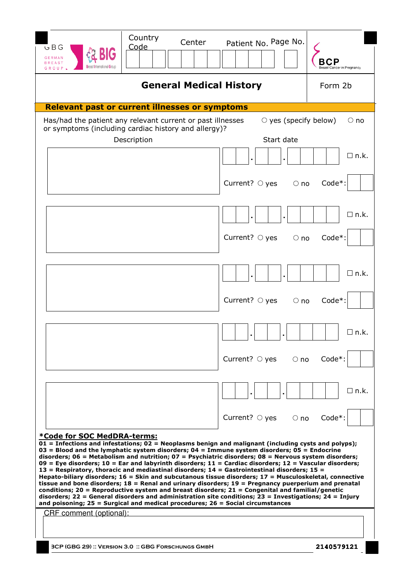| Country<br>Center<br>Code<br>৬ B G<br><b>GERMAN</b><br>BREAST<br>Breast International Gr<br>GROUP                                                                                                                                                                                                                                                                                                                                                                                                                                                                                                                                                                                                                                                                                                                                                                                                                                                                                                                                                                                                  | Patient No. Page No.                      | ncer in Pregnancy |
|----------------------------------------------------------------------------------------------------------------------------------------------------------------------------------------------------------------------------------------------------------------------------------------------------------------------------------------------------------------------------------------------------------------------------------------------------------------------------------------------------------------------------------------------------------------------------------------------------------------------------------------------------------------------------------------------------------------------------------------------------------------------------------------------------------------------------------------------------------------------------------------------------------------------------------------------------------------------------------------------------------------------------------------------------------------------------------------------------|-------------------------------------------|-------------------|
| <b>General Medical History</b>                                                                                                                                                                                                                                                                                                                                                                                                                                                                                                                                                                                                                                                                                                                                                                                                                                                                                                                                                                                                                                                                     |                                           | Form 2b           |
| <b>Relevant past or current illnesses or symptoms</b>                                                                                                                                                                                                                                                                                                                                                                                                                                                                                                                                                                                                                                                                                                                                                                                                                                                                                                                                                                                                                                              |                                           |                   |
| Has/had the patient any relevant current or past illnesses<br>or symptoms (including cardiac history and allergy)?<br>Description                                                                                                                                                                                                                                                                                                                                                                                                                                                                                                                                                                                                                                                                                                                                                                                                                                                                                                                                                                  | $\circ$ yes (specify below)<br>Start date | $\circ$ no        |
|                                                                                                                                                                                                                                                                                                                                                                                                                                                                                                                                                                                                                                                                                                                                                                                                                                                                                                                                                                                                                                                                                                    |                                           | $\square$ n.k.    |
|                                                                                                                                                                                                                                                                                                                                                                                                                                                                                                                                                                                                                                                                                                                                                                                                                                                                                                                                                                                                                                                                                                    | Current? $\circ$ yes<br>$\circ$ no        | Code*:            |
|                                                                                                                                                                                                                                                                                                                                                                                                                                                                                                                                                                                                                                                                                                                                                                                                                                                                                                                                                                                                                                                                                                    |                                           | $\square$ n.k.    |
|                                                                                                                                                                                                                                                                                                                                                                                                                                                                                                                                                                                                                                                                                                                                                                                                                                                                                                                                                                                                                                                                                                    | Current? $\circ$ yes<br>$\bigcirc$ no     | Code*:            |
|                                                                                                                                                                                                                                                                                                                                                                                                                                                                                                                                                                                                                                                                                                                                                                                                                                                                                                                                                                                                                                                                                                    |                                           | $\Box$ n.k.       |
|                                                                                                                                                                                                                                                                                                                                                                                                                                                                                                                                                                                                                                                                                                                                                                                                                                                                                                                                                                                                                                                                                                    | Current? $\circ$ yes<br>$\circ$ no        | Code*:            |
|                                                                                                                                                                                                                                                                                                                                                                                                                                                                                                                                                                                                                                                                                                                                                                                                                                                                                                                                                                                                                                                                                                    |                                           | $\square$ n.k.    |
|                                                                                                                                                                                                                                                                                                                                                                                                                                                                                                                                                                                                                                                                                                                                                                                                                                                                                                                                                                                                                                                                                                    | Current? $\bigcirc$ yes<br>$\bigcirc$ no  | Code*:            |
|                                                                                                                                                                                                                                                                                                                                                                                                                                                                                                                                                                                                                                                                                                                                                                                                                                                                                                                                                                                                                                                                                                    |                                           | $\Box$ n.k.       |
|                                                                                                                                                                                                                                                                                                                                                                                                                                                                                                                                                                                                                                                                                                                                                                                                                                                                                                                                                                                                                                                                                                    | Current? $\bigcirc$ yes<br>$\circ$ no     | Code*:            |
| *Code for SOC MedDRA-terms:<br>$01$ = Infections and infestations; $02$ = Neoplasms benign and malignant (including cysts and polyps);<br>$03$ = Blood and the lymphatic system disorders; $04$ = Immune system disorders; $05$ = Endocrine<br>disorders; $06$ = Metabolism and nutrition; $07$ = Psychiatric disorders; $08$ = Nervous system disorders;<br>09 = Eye disorders; 10 = Ear and labyrinth disorders; 11 = Cardiac disorders; 12 = Vascular disorders;<br>13 = Respiratory, thoracic and mediastinal disorders; $14$ = Gastrointestinal disorders; 15 =<br>Hepato-biliary disorders; $16 =$ Skin and subcutanous tissue disorders; $17 =$ Musculoskeletal, connective<br>tissue and bone disorders; $18$ = Renal and urinary disorders; $19$ = Pregnancy puerperium and prenatal<br>conditions; 20 = Reproductive system and breast disorders; $21 =$ Congenital and familial/genetic<br>disorders; 22 = General disorders and administration site conditions; 23 = Investigations; 24 = Injury<br>and poisoning; $25 =$ Surgical and medical procedures; $26 =$ Social circumstances |                                           |                   |
| CRF comment (optional):                                                                                                                                                                                                                                                                                                                                                                                                                                                                                                                                                                                                                                                                                                                                                                                                                                                                                                                                                                                                                                                                            |                                           |                   |
| <b>BCP (GBG 29) :: VERSION 3.0 :: GBG FORSCHUNGS GMBH</b>                                                                                                                                                                                                                                                                                                                                                                                                                                                                                                                                                                                                                                                                                                                                                                                                                                                                                                                                                                                                                                          |                                           | 2140579121        |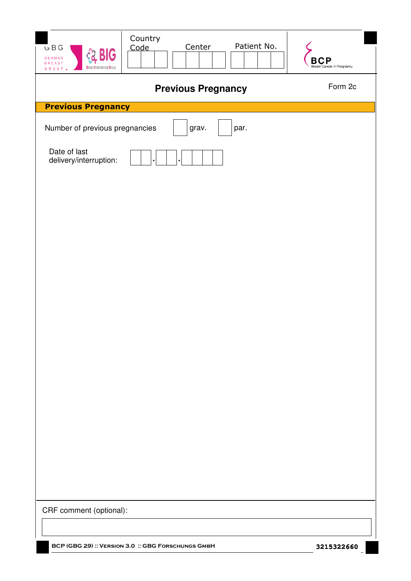| GBG<br><b>BIG</b><br><b>GERMAN</b><br><b>BREAST</b><br><b>Breast International Group</b><br>GROUP L | Country<br>Patient No.<br>Center<br>Code           | В<br>Breast Cancer in Pregnancy |
|-----------------------------------------------------------------------------------------------------|----------------------------------------------------|---------------------------------|
|                                                                                                     | <b>Previous Pregnancy</b>                          | Form 2c                         |
| <b>Previous Pregnancy</b>                                                                           |                                                    |                                 |
| Number of previous pregnancies                                                                      | grav.<br>par.                                      |                                 |
| Date of last<br>delivery/interruption:                                                              |                                                    |                                 |
|                                                                                                     |                                                    |                                 |
| CRF comment (optional):                                                                             | BCP (GBG 29) :: VERSION 3.0 :: GBG FORSCHUNGS GMBH |                                 |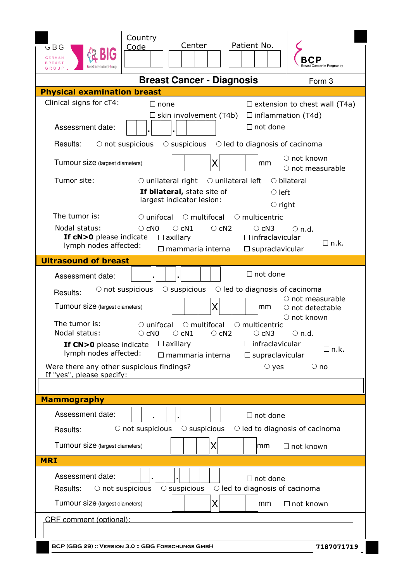| G B G<br>GERMAN<br>REAST<br>GROUP                                                         | Country<br>Code                    | Center                                                                   | Patient No.                                                     | incer in Pregnancy                                                          |
|-------------------------------------------------------------------------------------------|------------------------------------|--------------------------------------------------------------------------|-----------------------------------------------------------------|-----------------------------------------------------------------------------|
|                                                                                           |                                    | <b>Breast Cancer - Diagnosis</b>                                         |                                                                 | Form 3                                                                      |
| <b>Physical examination breast</b>                                                        |                                    |                                                                          |                                                                 |                                                                             |
| Clinical signs for cT4:                                                                   | $\Box$ none                        | $\Box$ skin involvement (T4b)                                            | $\Box$ inflammation (T4d)                                       | $\Box$ extension to chest wall (T4a)                                        |
| Assessment date:                                                                          |                                    |                                                                          | $\Box$ not done                                                 |                                                                             |
| Results:<br>$\circ$ not suspicious                                                        |                                    |                                                                          | $\circ$ suspicious $\circ$ led to diagnosis of cacinoma         |                                                                             |
| Tumour size (largest diameters)                                                           |                                    | X                                                                        | lmm                                                             | ○ not known<br>$\circlearrowright$ not measurable                           |
| Tumor site:                                                                               | $\circ$ unilateral right           | If bilateral, state site of<br>largest indicator lesion:                 | $\circ$ unilateral left<br>$\circ$ left<br>$\circ$ right        | $\circ$ bilateral                                                           |
| The tumor is:                                                                             | $\circ$ unifocal                   |                                                                          | $\circ$ multifocal $\circ$ multicentric                         |                                                                             |
| Nodal status:<br>If cN>0 please indicate<br>lymph nodes affected:                         | $\circ$ cN0                        | $\circ$ cN1<br>$\circ$ cN2<br>$\Box$ axillary<br>$\Box$ mammaria interna | $\circ$ cN3<br>$\Box$ infraclavicular<br>$\Box$ supraclavicular | $\circ$ n.d.<br>$\Box$ n.k.                                                 |
| <b>Ultrasound of breast</b>                                                               |                                    |                                                                          |                                                                 |                                                                             |
| Assessment date:                                                                          |                                    |                                                                          | $\Box$ not done                                                 |                                                                             |
| $\circ$ not suspicious<br>Results:                                                        |                                    | $\circ$ suspicious                                                       | $\bigcirc$ led to diagnosis of cacinoma                         |                                                                             |
| Tumour size (largest diameters)                                                           |                                    | X                                                                        | lmm                                                             | $\circlearrowright$ not measurable<br>$\circ$ not detectable<br>○ not known |
| The tumor is:<br>Nodal status:                                                            | $\circ$ unifocal<br>$\circ$ cN0    | $\circ$ multifocal<br>$\circ$ cN1<br>$\circ$ cN2                         | $\circlearrowright$ multicentric<br>$\circ$ cN3                 | $\circ$ n.d.                                                                |
| If CN>0 please indicate<br>lymph nodes affected:                                          |                                    | $\Box$ axillary<br>$\Box$ mammaria interna                               | $\Box$ infraclavicular<br>$\square$ supraclavicular             | $\Box$ n.k.                                                                 |
| Were there any other suspicious findings?<br>If "yes", please specify:                    |                                    |                                                                          | $\circ$ yes                                                     | $\circ$ no                                                                  |
|                                                                                           |                                    |                                                                          |                                                                 |                                                                             |
| <b>Mammography</b>                                                                        |                                    |                                                                          |                                                                 |                                                                             |
| Assessment date:                                                                          |                                    |                                                                          | $\Box$ not done                                                 |                                                                             |
| Results:                                                                                  | $\circlearrowright$ not suspicious | $\circ$ suspicious                                                       |                                                                 | $\circ$ led to diagnosis of cacinoma                                        |
| Tumour size (largest diameters)                                                           |                                    | Χ                                                                        | mm                                                              | $\Box$ not known                                                            |
| <b>MRI</b>                                                                                |                                    |                                                                          |                                                                 |                                                                             |
| Assessment date:<br>Results:<br>$\circ$ not suspicious<br>Tumour size (largest diameters) |                                    | $\circ$ suspicious<br>Χ                                                  | $\Box$ not done<br>$\circ$ led to diagnosis of cacinoma<br>mm   | $\Box$ not known                                                            |
|                                                                                           |                                    |                                                                          |                                                                 |                                                                             |
| CRF comment (optional):                                                                   |                                    |                                                                          |                                                                 |                                                                             |
| BCP (GBG 29) :: VERSION 3.0 :: GBG FORSCHUNGS GMBH                                        |                                    |                                                                          |                                                                 | 7187071719                                                                  |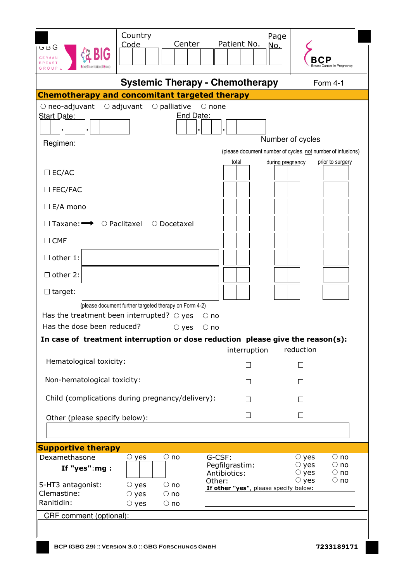| u p G<br><b>GERMAN</b>                                                             | Country<br>Center<br>Code                                                                                                | Page<br>Patient No.<br><u>No.</u>                                                           | reast Cancer in Pregnancy                                                                                        |
|------------------------------------------------------------------------------------|--------------------------------------------------------------------------------------------------------------------------|---------------------------------------------------------------------------------------------|------------------------------------------------------------------------------------------------------------------|
|                                                                                    | <b>Systemic Therapy - Chemotherapy</b>                                                                                   |                                                                                             | Form 4-1                                                                                                         |
|                                                                                    | <b>Chemotherapy and concomitant targeted therapy</b>                                                                     |                                                                                             |                                                                                                                  |
| $\circ$ neo-adjuvant<br><b>Start Date:</b><br>Regimen:                             | $\circ$ adjuvant $\circ$ palliative<br>End Date:                                                                         | $\circ$ none<br>total<br>during pregnancy                                                   | Number of cycles<br>(please document number of cycles, not number of infusions)<br>prior to surgery              |
| $\Box$ EC/AC                                                                       |                                                                                                                          |                                                                                             |                                                                                                                  |
| $\square$ FEC/FAC                                                                  |                                                                                                                          |                                                                                             |                                                                                                                  |
| $\Box$ E/A mono                                                                    |                                                                                                                          |                                                                                             |                                                                                                                  |
|                                                                                    | $\Box$ Taxane: $\rightarrow$ $\odot$ Paclitaxel $\odot$ Docetaxel                                                        |                                                                                             |                                                                                                                  |
| $\Box$ CMF                                                                         |                                                                                                                          |                                                                                             |                                                                                                                  |
| $\Box$ other 1:                                                                    |                                                                                                                          |                                                                                             |                                                                                                                  |
| $\Box$ other 2:                                                                    |                                                                                                                          |                                                                                             |                                                                                                                  |
| $\Box$ target:                                                                     |                                                                                                                          |                                                                                             |                                                                                                                  |
| Has the dose been reduced?                                                         | (please document further targeted therapy on Form 4-2)<br>Has the treatment been interrupted? $\circ$ yes<br>$\circ$ yes | $\circ$ no<br>$\circ$ no                                                                    |                                                                                                                  |
|                                                                                    | In case of treatment interruption or dose reduction please give the reason(s):                                           | interruption                                                                                | reduction                                                                                                        |
| Hematological toxicity:                                                            |                                                                                                                          | П                                                                                           | $\Box$                                                                                                           |
| Non-hematological toxicity:                                                        |                                                                                                                          | $\vert \ \ \vert$                                                                           | $\vert \ \ \vert$                                                                                                |
|                                                                                    | Child (complications during pregnancy/delivery):                                                                         | $\perp$                                                                                     | $\mathsf{L}$                                                                                                     |
| Other (please specify below):                                                      |                                                                                                                          | $\perp$                                                                                     | $\Box$                                                                                                           |
| <b>Supportive therapy</b>                                                          |                                                                                                                          |                                                                                             |                                                                                                                  |
| Dexamethasone<br>If "yes": $mg:$<br>5-HT3 antagonist:<br>Clemastine:<br>Ranitidin: | $\circ$ no<br>$\circ$ yes<br>$\circ$ yes<br>$\circ$ no<br>$\circ$ yes<br>$\circ$ no<br>$\circ$ yes<br>$\bigcirc$ no      | G-CSF:<br>Pegfilgrastim:<br>Antibiotics:<br>Other:<br>If other "yes", please specify below: | $\circ$ no<br>$\circ$ yes<br>$\circ$ yes<br>$\circ$ no<br>$\circ$ yes<br>$\circ$ no<br>$\circ$ yes<br>$\circ$ no |
| CRF comment (optional):                                                            | BCP (GBG 29) :: VERSION 3.0 :: GBG FORSCHUNGS GMBH                                                                       |                                                                                             | 7233189171                                                                                                       |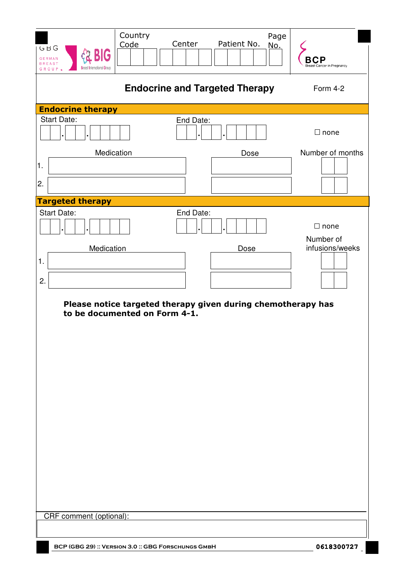| GBG<br><b>GERMAN</b><br><b>BREAST</b><br>GROUP.    | Country<br>Code | Center    | Patient No.                                                          | Page<br>No.<br>Breast Cancer in Pregnancy   |
|----------------------------------------------------|-----------------|-----------|----------------------------------------------------------------------|---------------------------------------------|
|                                                    |                 |           | <b>Endocrine and Targeted Therapy</b>                                | Form 4-2                                    |
| <b>Endocrine therapy</b>                           |                 |           |                                                                      |                                             |
| Start Date:                                        |                 | End Date: |                                                                      | $\Box$ none                                 |
| Medication<br>$\vert$ 1.<br>2.                     |                 |           | Dose                                                                 | Number of months                            |
| <b>Targeted therapy</b>                            |                 |           |                                                                      |                                             |
| <b>Start Date:</b><br>Medication<br>1.<br>2.       |                 | End Date: | Dose<br>Please notice targeted therapy given during chemotherapy has | $\Box$ none<br>Number of<br>infusions/weeks |
| to be documented on Form 4-1.                      |                 |           |                                                                      |                                             |
|                                                    |                 |           |                                                                      |                                             |
| CRF comment (optional):                            |                 |           |                                                                      |                                             |
|                                                    |                 |           |                                                                      |                                             |
| BCP (GBG 29) :: VERSION 3.0 :: GBG FORSCHUNGS GMBH |                 |           |                                                                      | 0618300727                                  |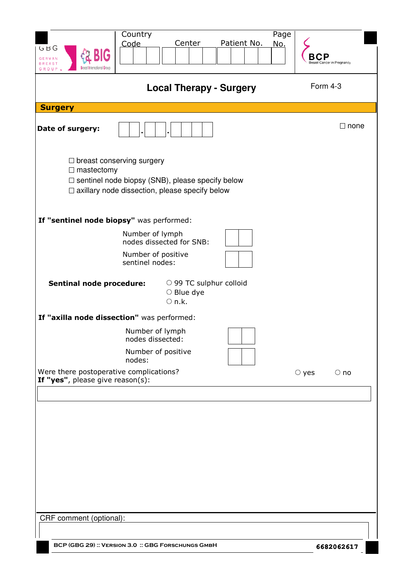| GBG<br><b>GERMAN</b><br><b>BREAST</b><br>GROUP                              | Country<br>Center<br>Code                                                                                                                            | Page<br>Patient No.<br>No. | reast Cancer in Pregnancy |
|-----------------------------------------------------------------------------|------------------------------------------------------------------------------------------------------------------------------------------------------|----------------------------|---------------------------|
|                                                                             | <b>Local Therapy - Surgery</b>                                                                                                                       |                            | Form 4-3                  |
| <b>Surgery</b>                                                              |                                                                                                                                                      |                            |                           |
| Date of surgery:                                                            |                                                                                                                                                      |                            | $\Box$ none               |
| $\Box$ mastectomy                                                           | $\Box$ breast conserving surgery<br>$\Box$ sentinel node biopsy (SNB), please specify below<br>$\Box$ axillary node dissection, please specify below |                            |                           |
|                                                                             | If "sentinel node biopsy" was performed:                                                                                                             |                            |                           |
|                                                                             | Number of lymph<br>nodes dissected for SNB:                                                                                                          |                            |                           |
|                                                                             | Number of positive<br>sentinel nodes:                                                                                                                |                            |                           |
| <b>Sentinal node procedure:</b>                                             | ○ 99 TC sulphur colloid<br>$\circ$ Blue dye<br>$\circ$ n.k.                                                                                          |                            |                           |
|                                                                             | If "axilla node dissection" was performed:                                                                                                           |                            |                           |
|                                                                             | Number of lymph<br>nodes dissected:                                                                                                                  |                            |                           |
|                                                                             | Number of positive<br>nodes:                                                                                                                         |                            |                           |
| Were there postoperative complications?<br>If "yes", please give reason(s): |                                                                                                                                                      |                            | $\circ$ yes<br>$\circ$ no |
|                                                                             |                                                                                                                                                      |                            |                           |
|                                                                             |                                                                                                                                                      |                            |                           |
|                                                                             |                                                                                                                                                      |                            |                           |
|                                                                             |                                                                                                                                                      |                            |                           |
|                                                                             |                                                                                                                                                      |                            |                           |
|                                                                             |                                                                                                                                                      |                            |                           |
|                                                                             |                                                                                                                                                      |                            |                           |
| CRF comment (optional):                                                     |                                                                                                                                                      |                            |                           |
|                                                                             | BCP (GBG 29) :: VERSION 3.0 :: GBG FORSCHUNGS GMBH                                                                                                   |                            | 6682062617                |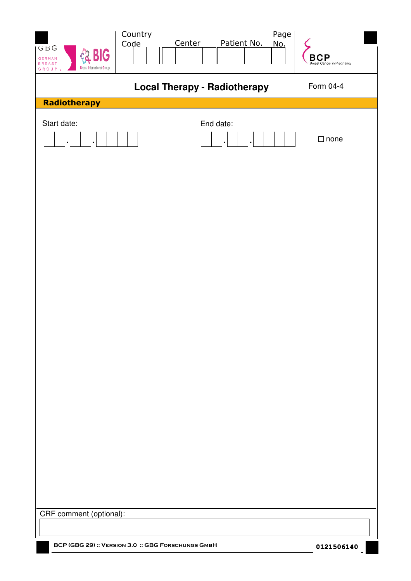| GBG<br><b>BIG</b><br><b>GERMAN</b><br><b>BREAST</b><br><b>Breast International Group</b><br>GROUP L | Country<br>Code | Page<br>Center<br>Patient No.<br><u>No.</u> | <b>BCP</b><br>Breast Cancer in Pregnancy |
|-----------------------------------------------------------------------------------------------------|-----------------|---------------------------------------------|------------------------------------------|
|                                                                                                     |                 | <b>Local Therapy - Radiotherapy</b>         | Form 04-4                                |
| Radiotherapy                                                                                        |                 |                                             |                                          |
| Start date:                                                                                         |                 | End date:                                   | $\Box$ none                              |
|                                                                                                     |                 |                                             |                                          |
|                                                                                                     |                 |                                             |                                          |
|                                                                                                     |                 |                                             |                                          |
|                                                                                                     |                 |                                             |                                          |
|                                                                                                     |                 |                                             |                                          |
|                                                                                                     |                 |                                             |                                          |
|                                                                                                     |                 |                                             |                                          |
| CRF comment (optional):                                                                             |                 |                                             |                                          |
|                                                                                                     |                 |                                             |                                          |
| BCP (GBG 29) :: VERSION 3.0 :: GBG FORSCHUNGS GMBH                                                  |                 |                                             | 0121506140                               |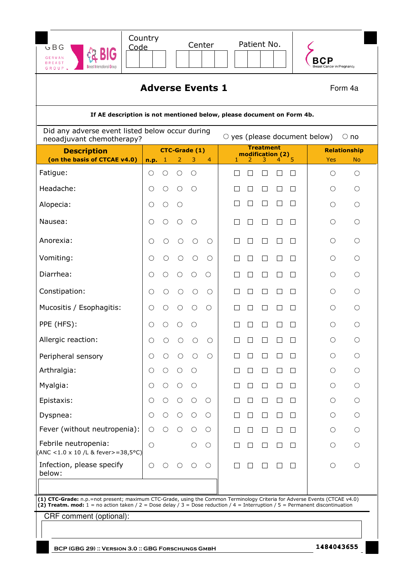| G B G<br><b>GERMAN</b><br><b>BREAST</b><br><b>Breast International Grou</b><br>GROUP                                                                                                                                                                                                            | Country<br>Code         |        |                                | Center          |   |         | Patient No.                          |                             |                   | reast Cancer in Pregnancy                     |                         |
|-------------------------------------------------------------------------------------------------------------------------------------------------------------------------------------------------------------------------------------------------------------------------------------------------|-------------------------|--------|--------------------------------|-----------------|---|---------|--------------------------------------|-----------------------------|-------------------|-----------------------------------------------|-------------------------|
|                                                                                                                                                                                                                                                                                                 | <b>Adverse Events 1</b> |        |                                |                 |   |         |                                      |                             |                   |                                               | Form 4a                 |
| If AE description is not mentioned below, please document on Form 4b.                                                                                                                                                                                                                           |                         |        |                                |                 |   |         |                                      |                             |                   |                                               |                         |
| Did any adverse event listed below occur during<br>$\circ$ yes (please document below)<br>$\bigcirc$ no<br>neoadjuvant chemotherapy?                                                                                                                                                            |                         |        |                                |                 |   |         |                                      |                             |                   |                                               |                         |
| <b>Description</b>                                                                                                                                                                                                                                                                              |                         |        | <b>CTC-Grade (1)</b>           |                 |   |         | <b>Treatment</b><br>modification (2) |                             |                   |                                               | <b>Relationship</b>     |
| (on the basis of CTCAE v4.0)<br>Fatigue:                                                                                                                                                                                                                                                        | n.p.<br>O               | 1<br>∩ | 3<br>2<br>◯<br>$\left(\right)$ | 4               | 1 |         |                                      | 4                           | 5                 | <b>Yes</b><br>$\circ$                         | <b>No</b><br>$\bigcirc$ |
| Headache:                                                                                                                                                                                                                                                                                       |                         | ∩      | O<br>$\left(\right)$           |                 |   | ГΙ      | $\Box$                               | $\Box$                      | $\mathsf{L}$      | O                                             | $\circlearrowright$     |
| Alopecia:                                                                                                                                                                                                                                                                                       |                         | ( )    | O                              |                 |   | $\Box$  | $\mathbf{r}$                         | $\mathcal{L}_{\mathcal{A}}$ | П                 | O                                             | $\bigcirc$              |
|                                                                                                                                                                                                                                                                                                 |                         |        |                                |                 |   |         |                                      |                             |                   |                                               |                         |
| Nausea:                                                                                                                                                                                                                                                                                         | ()                      | ∩      | O<br>$\left(\ \right)$         |                 |   | $\perp$ | □                                    | $\Box$                      | $\perp$           | $\bigcirc$                                    | $\bigcirc$              |
| Anorexia:                                                                                                                                                                                                                                                                                       |                         |        | ∩                              | $\left(\right)$ |   | $\perp$ | П                                    | П                           | $\Box$            | $\bigcirc$                                    | $\bigcirc$              |
| Vomiting:                                                                                                                                                                                                                                                                                       |                         |        | ∩                              | ◯               |   |         | П                                    |                             | $\Box$            | $\bigcirc$                                    | ∩                       |
| Diarrhea:                                                                                                                                                                                                                                                                                       |                         |        |                                | $\left(\right)$ |   |         | П                                    |                             | $\Box$            | ∩                                             | ∩                       |
| Constipation:                                                                                                                                                                                                                                                                                   |                         |        | O                              | O               |   |         | $\mathsf{L}$                         |                             | $\Box$            | $\left(\begin{array}{c} \end{array}\right)$   | ∩                       |
| Mucositis / Esophagitis:                                                                                                                                                                                                                                                                        |                         |        | $\bigcirc$                     | O               |   |         | $\mathsf{L}$                         |                             | $\Box$            | ∩                                             | ∩                       |
| PPE (HFS):                                                                                                                                                                                                                                                                                      |                         |        |                                |                 |   |         |                                      |                             |                   | $\left(\begin{array}{c} 1 \end{array}\right)$ | Ο                       |
| Allergic reaction:                                                                                                                                                                                                                                                                              |                         | O      | $\bigcirc$<br>$\bigcirc$       | $\bigcirc$      |   |         |                                      |                             |                   |                                               | О                       |
| Peripheral sensory                                                                                                                                                                                                                                                                              | O                       |        | $\bigcirc$<br>O                | $\bigcirc$      |   |         |                                      |                             |                   | O                                             | O                       |
| Arthralgia:                                                                                                                                                                                                                                                                                     | O                       | O      | $\bigcirc$<br>O                |                 |   | $\Box$  | □                                    | ⊔                           | $\Box$            | $\bigcirc$                                    | $\bigcirc$              |
| Myalgia:                                                                                                                                                                                                                                                                                        | O                       | О      | O<br>O                         |                 |   | П       | $\Box$                               | $\Box$                      | $\Box$            | $\bigcirc$                                    | $\bigcirc$              |
| Epistaxis:                                                                                                                                                                                                                                                                                      |                         | ( )    | $\bigcirc$<br>O                | O               |   | ſΙ      | ⊔                                    | $\Box$                      | $\Box$            | O                                             | $\bigcirc$              |
| Dyspnea:                                                                                                                                                                                                                                                                                        | O                       | O      | $\bigcirc$<br>$\bigcirc$       | $\circ$         |   |         | □                                    | $\Box$                      | $\Box$            | O                                             | $\bigcirc$              |
| Fever (without neutropenia):                                                                                                                                                                                                                                                                    | O                       | ∩      | ∩<br>O                         | $\circ$         |   | ΓI      | □                                    | ⊔                           | $\Box$            | $\circ$                                       | O                       |
| Febrile neutropenia:<br>(ANC <1.0 x 10 /L & fever>=38,5°C)                                                                                                                                                                                                                                      | $\bigcirc$              |        | O                              | $\bigcirc$      |   | П       | $\Box$                               | $\Box$                      | $\Box$            | $\bigcirc$                                    | $\bigcirc$              |
| Infection, please specify<br>below:                                                                                                                                                                                                                                                             | $\bigcirc$              |        | O                              | $\bigcirc$      |   |         |                                      |                             | $\vert \ \ \vert$ | $\bigcirc$                                    | O                       |
| (1) CTC-Grade: n.p.=not present; maximum CTC-Grade, using the Common Terminology Criteria for Adverse Events (CTCAE v4.0)<br>(2) Treatm. mod: $1 =$ no action taken / $2 =$ Dose delay / $3 =$ Dose reduction / $4 =$ Interruption / $5 =$ Permanent discontinuation<br>CRF comment (optional): |                         |        |                                |                 |   |         |                                      |                             |                   |                                               |                         |
| BCP (GBG 29) :: VERSION 3.0 :: GBG FORSCHUNGS GMBH                                                                                                                                                                                                                                              |                         |        |                                |                 |   |         |                                      |                             |                   | 1484043655                                    |                         |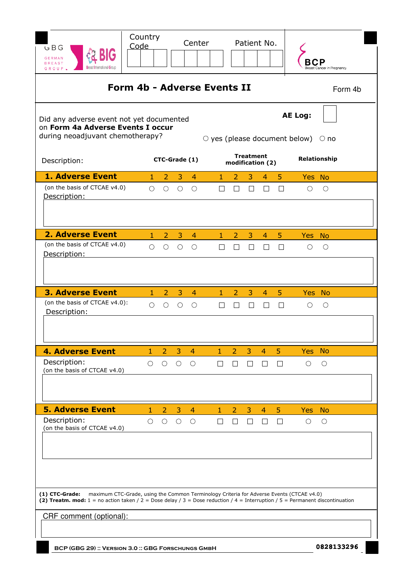| GBG<br><b>GERMAN</b><br><b>BREAST</b>                                                                                                                                                                                                                                              | Country<br>Code |                     |                 | Center         |                                    |                |                   | Patient No.      |                |                                                                  | <b>Breast Cancer in Pregnancy</b> |
|------------------------------------------------------------------------------------------------------------------------------------------------------------------------------------------------------------------------------------------------------------------------------------|-----------------|---------------------|-----------------|----------------|------------------------------------|----------------|-------------------|------------------|----------------|------------------------------------------------------------------|-----------------------------------|
|                                                                                                                                                                                                                                                                                    |                 |                     |                 |                | <b>Form 4b - Adverse Events II</b> |                |                   |                  |                |                                                                  | Form 4b                           |
| Did any adverse event not yet documented<br>on Form 4a Adverse Events I occur<br>during neoadjuvant chemotherapy?                                                                                                                                                                  |                 |                     |                 |                |                                    |                |                   |                  |                | <b>AE Log:</b><br>$\circ$ yes (please document below) $\circ$ no |                                   |
| Description:                                                                                                                                                                                                                                                                       |                 |                     | CTC-Grade (1)   |                |                                    |                | <b>Treatment</b>  | modification (2) |                |                                                                  | Relationship                      |
| <b>1. Adverse Event</b>                                                                                                                                                                                                                                                            | 1.              | 2                   | 3               | $\overline{4}$ | $\mathbf{1}$                       | 2              | 3                 | $\overline{4}$   | 5.             | Yes No                                                           |                                   |
| (on the basis of CTCAE v4.0)<br>Description:                                                                                                                                                                                                                                       | $\bigcirc$      | $\bigcirc$          | $\bigcirc$      | O              | $\Box$                             | $\Box$         | $\perp$           | П                | $\Box$         | ◯                                                                | O                                 |
| <b>2. Adverse Event</b>                                                                                                                                                                                                                                                            | $1 -$           | $\overline{2}$      | 3               | $\overline{4}$ | $1 -$                              | $2 -$          | 3                 | $4 -$            | 5 <sup>5</sup> | Yes No                                                           |                                   |
| (on the basis of CTCAE v4.0)<br>Description:                                                                                                                                                                                                                                       | $\bigcirc$      | $\bigcirc$          | $\bigcirc$      | $\bigcirc$     | $\Box$                             | $\Box$         | $\vert \ \ \vert$ | Ш                | П              | O                                                                | $\bigcirc$                        |
| <b>3. Adverse Event</b>                                                                                                                                                                                                                                                            | $\mathbf{1}$    | $\overline{2}$      | 3               | $\overline{4}$ | $\mathbf{1}$                       | $\overline{2}$ | 3                 | $\overline{4}$   | 5              |                                                                  | Yes No                            |
| (on the basis of CTCAE v4.0):<br>Description:                                                                                                                                                                                                                                      | $\bigcirc$      | $\circlearrowright$ | $\bigcirc$      | $\circ$        | П                                  | П              | $\Box$            | П                | $\Box$         | $\circ$                                                          | $\bigcirc$                        |
| <b>4. Adverse Event</b>                                                                                                                                                                                                                                                            | $1 -$           | $2 -$               |                 | $3 \quad 4$    | $1 -$                              |                | $2 \quad 3$       | $\overline{4}$   | 5 <sup>1</sup> | Yes No                                                           |                                   |
| Description:<br>(on the basis of CTCAE v4.0)                                                                                                                                                                                                                                       | $\bigcirc$      | $\circ$             | $\circ$ $\circ$ |                | $\Box$                             | $\perp$        | $\Box$            | $\Box$           | $\Box$         | $\bigcirc$                                                       | $\circ$                           |
| <b>5. Adverse Event</b>                                                                                                                                                                                                                                                            | $\mathbf{1}$    | $\overline{2}$      | $3 -$           | $\overline{4}$ | $\mathbf{1}$                       | $\overline{2}$ | 3                 | $\overline{4}$   | 5              | Yes No                                                           |                                   |
| Description:<br>(on the basis of CTCAE v4.0)                                                                                                                                                                                                                                       | $\bigcirc$      | $\bigcirc$          | $\circ$         | $\circ$ O      | $\Box$                             | $\Box$         | $\Box$            | $\Box$           | $\Box$         | $\bigcirc$                                                       | $\bigcirc$                        |
| maximum CTC-Grade, using the Common Terminology Criteria for Adverse Events (CTCAE v4.0)<br>$(1)$ CTC-Grade:<br>(2) Treatm. mod: $1 =$ no action taken / $2 =$ Dose delay / $3 =$ Dose reduction / $4 =$ Interruption / $5 =$ Permanent discontinuation<br>CRF comment (optional): |                 |                     |                 |                |                                    |                |                   |                  |                |                                                                  |                                   |
|                                                                                                                                                                                                                                                                                    |                 |                     |                 |                |                                    |                |                   |                  |                |                                                                  |                                   |
| BCP (GBG 29) :: VERSION 3.0 :: GBG FORSCHUNGS GMBH                                                                                                                                                                                                                                 |                 |                     |                 |                |                                    |                |                   |                  |                |                                                                  | 0828133296                        |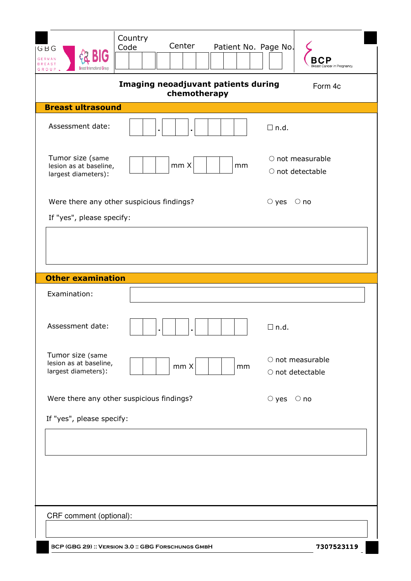| Country<br>Center<br>Patient No. Page No.<br>Code<br>GBG<br><b>GERMAN</b><br>BREAST<br>GROUP | east Cancer in Pregnancy                         |
|----------------------------------------------------------------------------------------------|--------------------------------------------------|
| Imaging neoadjuvant patients during<br>chemotherapy                                          | Form 4c                                          |
| <b>Breast ultrasound</b>                                                                     |                                                  |
| Assessment date:                                                                             | $\Box$ n.d.                                      |
| Tumor size (same<br>mm X<br>lesion as at baseline,<br>mm<br>largest diameters):              | ○ not measurable<br>$\circ$ not detectable       |
| Were there any other suspicious findings?                                                    | $\circ$ yes $\circ$ no                           |
| If "yes", please specify:<br><b>Other examination</b>                                        |                                                  |
|                                                                                              |                                                  |
| Examination:                                                                                 |                                                  |
| Assessment date:                                                                             | $\Box$ n.d.                                      |
| Tumor size (same<br>lesion as at baseline,<br>mm X<br>mm<br>largest diameters):              | $\circ$ not measurable<br>$\circ$ not detectable |
| Were there any other suspicious findings?                                                    | $\circ$ yes $\circ$ no                           |
| If "yes", please specify:                                                                    |                                                  |
|                                                                                              |                                                  |
| CRF comment (optional):                                                                      |                                                  |
| BCP (GBG 29) :: VERSION 3.0 :: GBG FORSCHUNGS GMBH                                           | 7307523119                                       |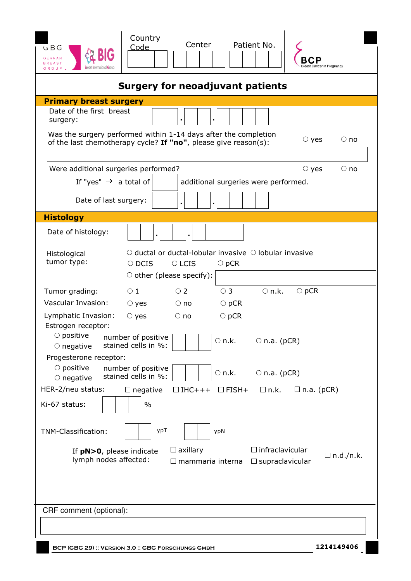| GBG<br><b>GERMAN</b><br><b>BREAST</b><br><b>R</b> reast International Grour<br>GROUP | Country<br>Center<br>Patient No.<br>Code                                                                                           | east Cancer in Pregnancy  |
|--------------------------------------------------------------------------------------|------------------------------------------------------------------------------------------------------------------------------------|---------------------------|
|                                                                                      | <b>Surgery for neoadjuvant patients</b>                                                                                            |                           |
| <b>Primary breast surgery</b>                                                        |                                                                                                                                    |                           |
| Date of the first breast<br>surgery:                                                 |                                                                                                                                    |                           |
|                                                                                      | Was the surgery performed within 1-14 days after the completion<br>of the last chemotherapy cycle? If "no", please give reason(s): | $\circ$ yes<br>$\circ$ no |
|                                                                                      |                                                                                                                                    | $\circ$ no                |
| Were additional surgeries performed?                                                 |                                                                                                                                    | $\circ$ yes               |
| If "yes" $\rightarrow$ a total of                                                    | additional surgeries were performed.                                                                                               |                           |
| Date of last surgery:                                                                |                                                                                                                                    |                           |
| <b>Histology</b>                                                                     |                                                                                                                                    |                           |
| Date of histology:                                                                   |                                                                                                                                    |                           |
| Histological                                                                         | $\circlearrowright$ ductal or ductal-lobular invasive $\circlearrowright$ lobular invasive                                         |                           |
| tumor type:                                                                          | $\circ$ DCIS<br>$\circ$ LCIS<br>$\bigcirc$ pCR                                                                                     |                           |
|                                                                                      | $\circ$ other (please specify):                                                                                                    |                           |
| Tumor grading:                                                                       | $\bigcirc$ n.k.<br>$\circ$ 1<br>$\circ$ 2<br>$\circ$ 3<br>$\bigcirc$ pCR                                                           |                           |
| Vascular Invasion:                                                                   | $\circ$ yes<br>$\circ$ no<br>$\bigcirc$ pCR                                                                                        |                           |
| Lymphatic Invasion:<br>Estrogen receptor:                                            | $\circ$ yes<br>$\bigcirc$ pCR<br>$\bigcirc$ no                                                                                     |                           |
| $\circ$ positive<br>$\circ$ negative                                                 | number of positive<br>$\circ$ n.k.<br>$\circ$ n.a. (pCR)<br>stained cells in %:                                                    |                           |
| Progesterone receptor:<br>$\circ$ positive                                           | number of positive<br>$\circ$ n.k.<br>$\circ$ n.a. (pCR)                                                                           |                           |
| $\circ$ negative                                                                     | stained cells in %:                                                                                                                |                           |
| HER-2/neu status:<br>Ki-67 status:                                                   | $\Box$ n.k.<br>$\Box$ IHC+++<br>$\Box$ FISH+<br>$\Box$ negative<br>$\frac{0}{0}$                                                   | $\Box$ n.a. (pCR)         |
| TNM-Classification:                                                                  | ypT<br>ypN                                                                                                                         |                           |
| If $pN>0$ , please indicate<br>lymph nodes affected:                                 | $\Box$ infraclavicular<br>$\Box$ axillary<br>mammaria interna<br>$\Box$ supraclavicular                                            | $\Box$ n.d./n.k.          |
| CRF comment (optional):                                                              |                                                                                                                                    |                           |
|                                                                                      |                                                                                                                                    |                           |
|                                                                                      | BCP (GBG 29): VERSION 3.0: GBG FORSCHUNGS GMBH                                                                                     | 1214149406                |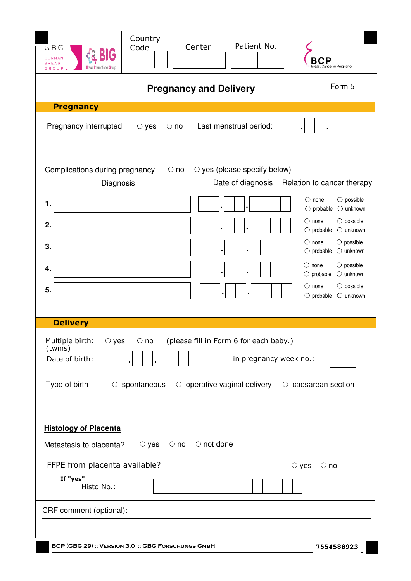| GBG<br><b>GERMAN</b><br><b>BREAST</b><br>GROUP                                           | Country<br>Code                   | Patient No.<br>Center                                                                                  | reast Cancer in Pregnancy                                                                                                                                                                                                                                                                                                                                                                                                                       |  |
|------------------------------------------------------------------------------------------|-----------------------------------|--------------------------------------------------------------------------------------------------------|-------------------------------------------------------------------------------------------------------------------------------------------------------------------------------------------------------------------------------------------------------------------------------------------------------------------------------------------------------------------------------------------------------------------------------------------------|--|
| Form 5<br><b>Pregnancy and Delivery</b>                                                  |                                   |                                                                                                        |                                                                                                                                                                                                                                                                                                                                                                                                                                                 |  |
| <b>Pregnancy</b>                                                                         |                                   |                                                                                                        |                                                                                                                                                                                                                                                                                                                                                                                                                                                 |  |
| Pregnancy interrupted                                                                    | $\circ$ yes<br>$\circ$ no         | Last menstrual period:                                                                                 |                                                                                                                                                                                                                                                                                                                                                                                                                                                 |  |
| Complications during pregnancy<br>Diagnosis                                              | $\circ$ no                        | $\circ$ yes (please specify below)<br>Date of diagnosis                                                | Relation to cancer therapy                                                                                                                                                                                                                                                                                                                                                                                                                      |  |
| 1.<br>2.<br>3.<br>4.<br>5.                                                               |                                   |                                                                                                        | $\bigcirc$ none<br>$\bigcirc$ possible<br>probable<br>$\bigcirc$ unknown<br>$\bigcirc$<br>$\bigcirc$ none<br>$\bigcirc$ possible<br>$\bigcirc$ unknown<br>$\bigcirc$ probable<br>$\bigcirc$ none<br>$\bigcirc$ possible<br>$\bigcirc$ probable<br>$\bigcirc$ unknown<br>$\bigcirc$ possible<br>$\circ$ none<br>$\bigcirc$ probable<br>$\bigcirc$ unknown<br>$\bigcirc$ none<br>$\bigcirc$ possible<br>$\bigcirc$ probable<br>$\bigcirc$ unknown |  |
| <b>Delivery</b>                                                                          |                                   |                                                                                                        |                                                                                                                                                                                                                                                                                                                                                                                                                                                 |  |
| Multiple birth:<br>$\circ$ yes<br>(twins)<br>Date of birth:<br>Type of birth             | $\circ$ no<br>$\circ$ spontaneous | (please fill in Form 6 for each baby.)<br>in pregnancy week no.:<br>$\circ$ operative vaginal delivery | $\circ$ caesarean section                                                                                                                                                                                                                                                                                                                                                                                                                       |  |
| <b>Histology of Placenta</b><br>Metastasis to placenta?<br>FFPE from placenta available? | $\circ$ yes                       | $\circ$ no $\circ$ not done                                                                            | $\circ$ yes<br>$\circ$ no                                                                                                                                                                                                                                                                                                                                                                                                                       |  |
| If "yes"<br>Histo No.:                                                                   |                                   |                                                                                                        |                                                                                                                                                                                                                                                                                                                                                                                                                                                 |  |
| CRF comment (optional):                                                                  |                                   |                                                                                                        |                                                                                                                                                                                                                                                                                                                                                                                                                                                 |  |
| BCP (GBG 29) :: VERSION 3.0 :: GBG FORSCHUNGS GMBH                                       |                                   |                                                                                                        | 7554588923                                                                                                                                                                                                                                                                                                                                                                                                                                      |  |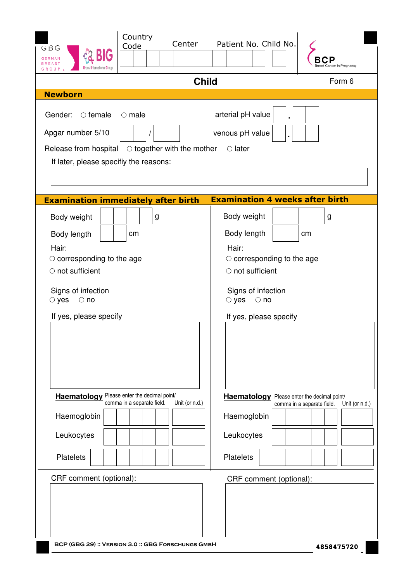| Country<br>Center<br>Code<br>GBG<br><b>GERMAN</b>                                                                                                                                                                | Patient No. Child No.<br>east Cancer in Pregnancy                                                                                          |
|------------------------------------------------------------------------------------------------------------------------------------------------------------------------------------------------------------------|--------------------------------------------------------------------------------------------------------------------------------------------|
| <b>Child</b>                                                                                                                                                                                                     | Form 6                                                                                                                                     |
| <b>Newborn</b>                                                                                                                                                                                                   |                                                                                                                                            |
| Gender:<br>$\circ$ female<br>$\circ$ male<br>Apgar number 5/10<br>Release from hospital $\circ$ together with the mother<br>If later, please specifiy the reasons:<br><b>Examination immediately after birth</b> | arterial pH value<br>venous pH value<br>$\circ$ later<br><b>Examination 4 weeks after birth</b>                                            |
| Body weight<br>g                                                                                                                                                                                                 | Body weight<br>g                                                                                                                           |
| cm<br>Body length                                                                                                                                                                                                | Body length<br>cm                                                                                                                          |
| Hair:<br>$\circ$ corresponding to the age<br>$\circ$ not sufficient<br>Signs of infection<br>$\circ$ yes<br>$\circ$ no<br>If yes, please specify                                                                 | Hair:<br>$\circ$ corresponding to the age<br>○ not sufficient<br>Signs of infection<br>$\circ$ yes<br>$\circ$ no<br>If yes, please specify |
| <b>Haematology</b> Please enter the decimal point/<br>comma in a separate field.<br>Unit (or n.d.)                                                                                                               | <b>Haematology</b> Please enter the decimal point/<br>comma in a separate field.<br>Unit (or n.d.)                                         |
| Haemoglobin                                                                                                                                                                                                      | Haemoglobin                                                                                                                                |
| Leukocytes                                                                                                                                                                                                       | Leukocytes                                                                                                                                 |
| <b>Platelets</b>                                                                                                                                                                                                 | <b>Platelets</b>                                                                                                                           |
| CRF comment (optional):<br>BCP (GBG 29): VERSION 3.0: GBG FORSCHUNGS GMBH                                                                                                                                        | CRF comment (optional):<br>4858475720                                                                                                      |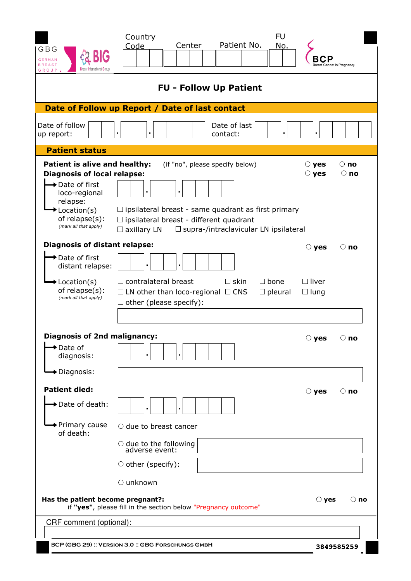| GBG<br><b>GERMAN</b><br><b>BREAST</b><br>GROUP.                                                                                                                                                     | <b>FU</b><br>Country<br>Patient No.<br>Center<br>No.<br>Code                                                                                                                                                          |                             | Cancer in Pregnancy      |
|-----------------------------------------------------------------------------------------------------------------------------------------------------------------------------------------------------|-----------------------------------------------------------------------------------------------------------------------------------------------------------------------------------------------------------------------|-----------------------------|--------------------------|
|                                                                                                                                                                                                     | <b>FU - Follow Up Patient</b>                                                                                                                                                                                         |                             |                          |
|                                                                                                                                                                                                     | Date of Follow up Report / Date of last contact                                                                                                                                                                       |                             |                          |
| Date of follow<br>up report:                                                                                                                                                                        | Date of last<br>contact:                                                                                                                                                                                              |                             |                          |
| <b>Patient status</b>                                                                                                                                                                               |                                                                                                                                                                                                                       |                             |                          |
| Patient is alive and healthy:<br><b>Diagnosis of local relapse:</b><br>→ Date of first<br>loco-regional<br>relapse:<br>$\blacktriangleright$ Location(s)<br>of relapse(s):<br>(mark all that apply) | (if "no", please specify below)<br>$\Box$ ipsilateral breast - same quadrant as first primary<br>$\Box$ ipsilateral breast - different quadrant<br>$\Box$ supra-/intraclavicular LN ipsilateral<br>$\Box$ axillary LN | $\circ$ yes<br>$\circ$ yes  | $\circ$ no<br>$\circ$ no |
| <b>Diagnosis of distant relapse:</b>                                                                                                                                                                |                                                                                                                                                                                                                       | $\circ$ yes                 | $\circ$ no               |
| <b>→</b> Date of first<br>distant relapse:                                                                                                                                                          |                                                                                                                                                                                                                       |                             |                          |
| $\blacktriangleright$ Location(s)<br>of relapse(s):<br>(mark all that apply)                                                                                                                        | $\Box$ contralateral breast<br>$\Box$ skin<br>$\Box$ bone<br>$\Box$ LN other than loco-regional $\Box$ CNS<br>$\Box$ pleural<br>$\Box$ other (please specify):                                                        | $\Box$ liver<br>$\Box$ lung |                          |
| <b>Diagnosis of 2nd malignancy:</b>                                                                                                                                                                 |                                                                                                                                                                                                                       |                             | $\circ$ no               |
| Date of<br>diagnosis:                                                                                                                                                                               |                                                                                                                                                                                                                       | $\bigcirc$ yes              |                          |
| <b>→</b> Diagnosis:                                                                                                                                                                                 |                                                                                                                                                                                                                       |                             |                          |
| <b>Patient died:</b>                                                                                                                                                                                |                                                                                                                                                                                                                       | $\circ$ yes                 | $\circ$ no               |
| $\rightarrow$ Date of death:                                                                                                                                                                        |                                                                                                                                                                                                                       |                             |                          |
| ◆ Primary cause<br>of death:                                                                                                                                                                        | $\circlearrowright$ due to breast cancer                                                                                                                                                                              |                             |                          |
|                                                                                                                                                                                                     | $\circ$ due to the following<br>adverse event:                                                                                                                                                                        |                             |                          |
|                                                                                                                                                                                                     | $\circ$ other (specify):                                                                                                                                                                                              |                             |                          |
|                                                                                                                                                                                                     | $\circ$ unknown                                                                                                                                                                                                       |                             |                          |
| Has the patient become pregnant?:                                                                                                                                                                   | if "yes", please fill in the section below "Pregnancy outcome"                                                                                                                                                        | $\bigcirc$ yes              | $\circ$ no               |
| CRF comment (optional):                                                                                                                                                                             |                                                                                                                                                                                                                       |                             |                          |
|                                                                                                                                                                                                     |                                                                                                                                                                                                                       |                             |                          |
|                                                                                                                                                                                                     | BCP (GBG 29) :: VERSION 3.0 :: GBG FORSCHUNGS GMBH                                                                                                                                                                    |                             | 3849585259               |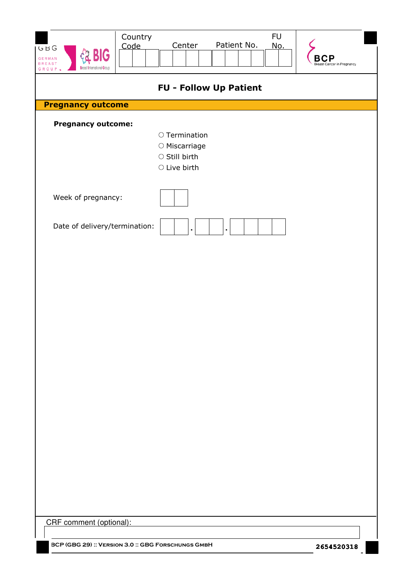| Country<br>Code<br>GBG<br><b>BIG</b><br><b>GERMAN</b><br><b>BREAST</b><br><b>Breast International Group</b><br>GROUP L | <b>FU</b><br>Patient No.<br>Center<br>No.                                                           | <b>Breast Cancer in Pregnancy</b> |
|------------------------------------------------------------------------------------------------------------------------|-----------------------------------------------------------------------------------------------------|-----------------------------------|
|                                                                                                                        | <b>FU - Follow Up Patient</b>                                                                       |                                   |
| <b>Pregnancy outcome</b>                                                                                               |                                                                                                     |                                   |
| <b>Pregnancy outcome:</b>                                                                                              | $\circ$ Termination<br>$\circlearrowright$ Miscarriage<br>$\circ$ Still birth<br>$\circ$ Live birth |                                   |
| Week of pregnancy:                                                                                                     |                                                                                                     |                                   |
| Date of delivery/termination:                                                                                          | $\blacksquare$<br>$\blacksquare$                                                                    |                                   |
|                                                                                                                        |                                                                                                     |                                   |
|                                                                                                                        |                                                                                                     |                                   |
|                                                                                                                        |                                                                                                     |                                   |
|                                                                                                                        |                                                                                                     |                                   |
|                                                                                                                        |                                                                                                     |                                   |
|                                                                                                                        |                                                                                                     |                                   |
|                                                                                                                        |                                                                                                     |                                   |
|                                                                                                                        |                                                                                                     |                                   |
|                                                                                                                        |                                                                                                     |                                   |
| CRF comment (optional):                                                                                                |                                                                                                     |                                   |
| BCP (GBG 29) :: VERSION 3.0 :: GBG FORSCHUNGS GMBH                                                                     |                                                                                                     | 2654520318                        |